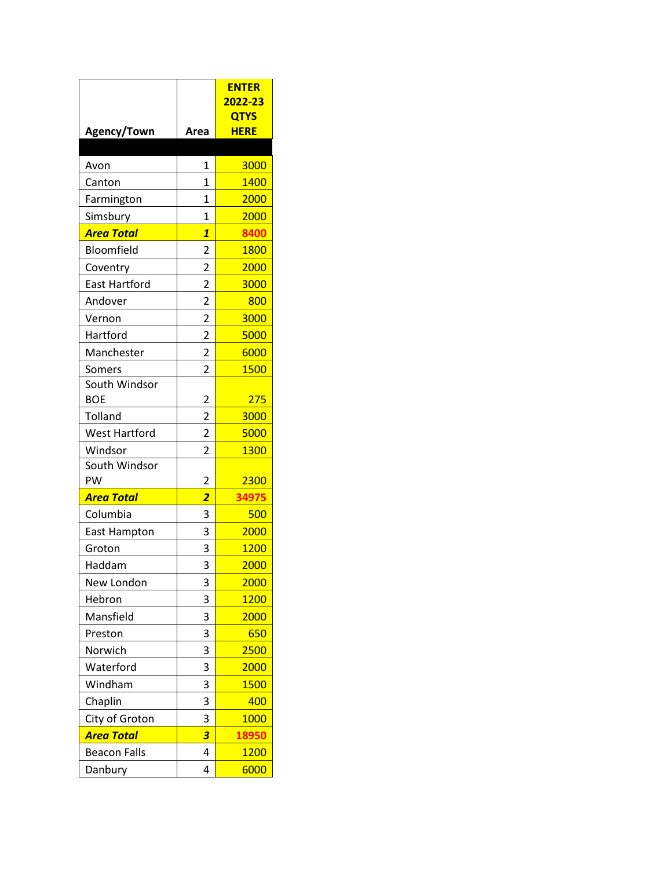|                                 |                         | <b>ENTER</b><br>2022-23 |
|---------------------------------|-------------------------|-------------------------|
|                                 |                         | <b>QTYS</b>             |
| Agency/Town                     | Area                    | <b>HERE</b>             |
|                                 |                         |                         |
| Avon                            | $\mathbf{1}$            | 3000                    |
| Canton                          | $\mathbf{1}$            | 1400                    |
| Farmington                      | $\overline{1}$          | 2000                    |
| Simsbury                        | 1                       | 2000                    |
| <b>Area Total</b>               | $\overline{\mathbf{1}}$ | 8400                    |
| Bloomfield                      | $\overline{c}$          | 1800                    |
| Coventry                        | $\overline{2}$          | 2000                    |
| <b>East Hartford</b>            | $\overline{2}$          | 3000                    |
| Andover                         | $\overline{c}$          | 800                     |
| Vernon                          | $\overline{2}$          | 3000                    |
| Hartford                        | $\overline{c}$          | 5000                    |
| Manchester                      | $\overline{2}$          | 6000                    |
| Somers                          | 2                       | 1500                    |
| South Windsor<br><b>BOE</b>     |                         |                         |
|                                 | 2                       | 275                     |
| Tolland                         | $\overline{2}$          | 3000<br>5000            |
| <b>West Hartford</b><br>Windsor | 2<br>2                  | 1300                    |
| South Windsor                   |                         |                         |
| PW                              | 2                       | 2300                    |
| <b>Area Total</b>               | $\overline{2}$          | 34975                   |
| Columbia                        | 3                       | 500                     |
| <b>East Hampton</b>             | 3                       | 2000                    |
| Groton                          | 3                       | 1200                    |
| Haddam                          | 3                       | 2000                    |
| New London                      | 3                       | 2000                    |
| Hebron                          | 3                       | <b>1200</b>             |
| Mansfield                       | 3                       | 2000                    |
| Preston                         | 3                       | 650                     |
| Norwich                         | 3                       | 2500                    |
| Waterford                       | 3                       | 2000                    |
| Windham                         | 3                       | 1500                    |
| Chaplin                         | 3                       | 400                     |
| City of Groton                  | 3                       | 1000                    |
| <b>Area Total</b>               | 3                       | 18950                   |
| <b>Beacon Falls</b>             | 4                       | <b>1200</b>             |
| Danbury                         | 4                       | 6000                    |